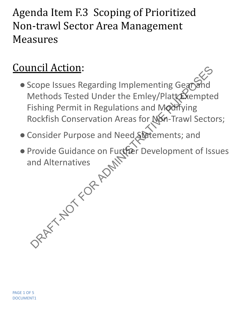## Agenda Item F.3 Scoping of Prioritized Non-trawl Sector Area Management Measures

## Council Action:

- Scope Issues Regarding Implementing Gear Methods Tested Under the Emley/Plattexempted Fishing Permit in Regulations and Modifying Rockfish Conservation Areas for Non-Trawl Sectors; Property and Methods Tested Under the Emley/Platt<br>
Methods Tested Under the Emley/Platt<br>
Stampter ishing Permit in Regulations and Modifying<br>
Rockfish Conservation Areas for Non-Trawl Sector<br>
Consider Purpose and Need Stat
- ●Consider Purpose and Need Statements; and
- ●Provide Guidance on Further Development of Issues and Alternatives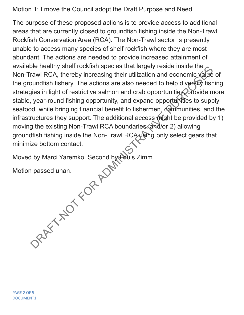Motion 1: I move the Council adopt the Draft Purpose and Need

The purpose of these proposed actions is to provide access to additional areas that are currently closed to groundfish fishing inside the Non-Trawl Rockfish Conservation Area (RCA). The Non-Trawl sector is presently unable to access many species of shelf rockfish where they are most abundant. The actions are needed to provide increased attainment of available healthy shelf rockfish species that largely reside inside the Non-Trawl RCA, thereby increasing their utilization and economic value of the groundfish fishery. The actions are also needed to help diversify fishing strategies in light of restrictive salmon and crab opportunities, provide more stable, year-round fishing opportunity, and expand opportunities to supply seafood, while bringing financial benefit to fishermen, communities, and the infrastructures they support. The additional access might be provided by 1) moving the existing Non-Trawl RCA boundaries, and/or 2) allowing groundfish fishing inside the Non-Trawl RCA using only select gears that minimize bottom contact. DRAFT-NOT THE TRANSFIRE SIGNAL TRANSFIRE THE CONDITION IS pected in the purpose inside the value of the conduction and conomic value of the purport of the purport of the given in light of restrictive salmon and crab opport

Moved by Marci Yaremko Second by Louis Zimm

Motion passed unan.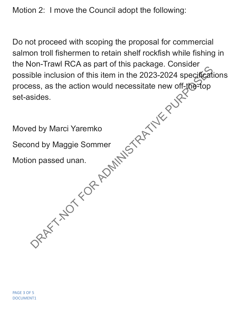Motion 2: I move the Council adopt the following:

Do not proceed with scoping the proposal for commercial salmon troll fishermen to retain shelf rockfish while fishing in the Non-Trawl RCA as part of this package. Consider possible inclusion of this item in the 2023-2024 specifications process, as the action would necessitate new off-the-top set-asides.

Moved by Marci Yaremko Second by Maggie Sommer Motion passed unan. But I had include part of this planting. Sometics the property of the inclusion of this item in the 2023-2024 specifical<br>sides.<br>Sides.<br>Ad by Marci Yaremko<br>and by Maggie Sommer<br>on passed unan.<br>DRAFT-NOT<br>SPART-NOT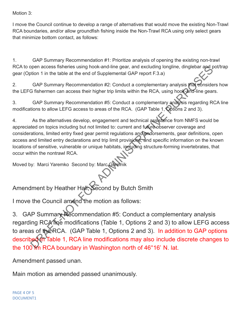Motion 3:

I move the Council continue to develop a range of alternatives that would move the existing Non-Trawl RCA boundaries, and/or allow groundfish fishing inside the Non-Trawl RCA using only select gears that minimize bottom contact, as follows:

1. GAP Summary Recommendation #1: Prioritize analysis of opening the existing non-trawl RCA to open access fisheries using hook-and-line gear, and excluding longline, dinglebar and pot/trap gear (Option 1 in the table at the end of Supplemental GAP report F.3.a)

2. GAP Summary Recommendation #2: Conduct a complementary analysis that considers how the LEFG fishermen can access their higher trip limits within the RCA, using hook-and-line gears.

3. GAP Summary Recommendation #5: Conduct a complementary analysis regarding RCA line modifications to allow LEFG access to areas of the RCA. (GAP Table 1, Options 2 and 3).

4. As the alternatives develop, engagement and technical assistance from NMFS would be appreciated on topics including but not limited to: current and future observer coverage and considerations, limited entry fixed gear permit regulations and endorsements, gear definitions, open access and limited entry declarations and trip limit provisions, and specific information on the known locations of sensitive, vulnerable or unique habitats, including structure-forming invertebrates, that occur within the nontrawl RCA. open access the mean look-and-line gear, and excluding longline, dinglebar and providing to the the end of Supplemental GAP report F.3.a)<br>
GAP Summary Recommendation #2: Conduct a complementary analysis readvisionside<br>
GRP

Moved by: Marci Yaremko Second by: Marc Gorelni

Amendment by Heather Hall; Second by Butch Smith

I move the Council amend the motion as follows:

3. GAP Summary Recommendation #5: Conduct a complementary analysis regarding RCA line modifications (Table 1, Options 2 and 3) to allow LEFG access to areas of the RCA. (GAP Table 1, Options 2 and 3). In addition to GAP options described in Table 1, RCA line modifications may also include discrete changes to the 100 fm RCA boundary in Washington north of 46°16' N. lat.

Amendment passed unan.

Main motion as amended passed unanimously.